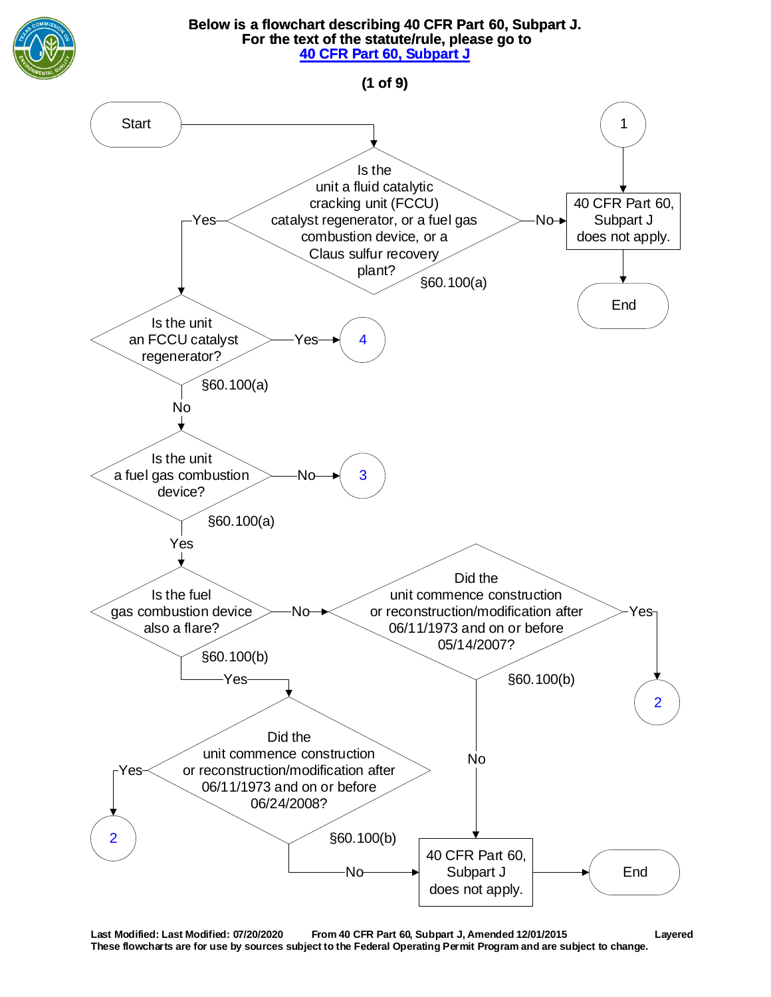<span id="page-0-0"></span>

**Last Modified: Last Modified: 07/20/2020 From 40 CFR Part 60, Subpart J, Amended 12/01/2015 Layered These flowcharts are for use by sources subject to the Federal Operating Permit Program and are subject to change.**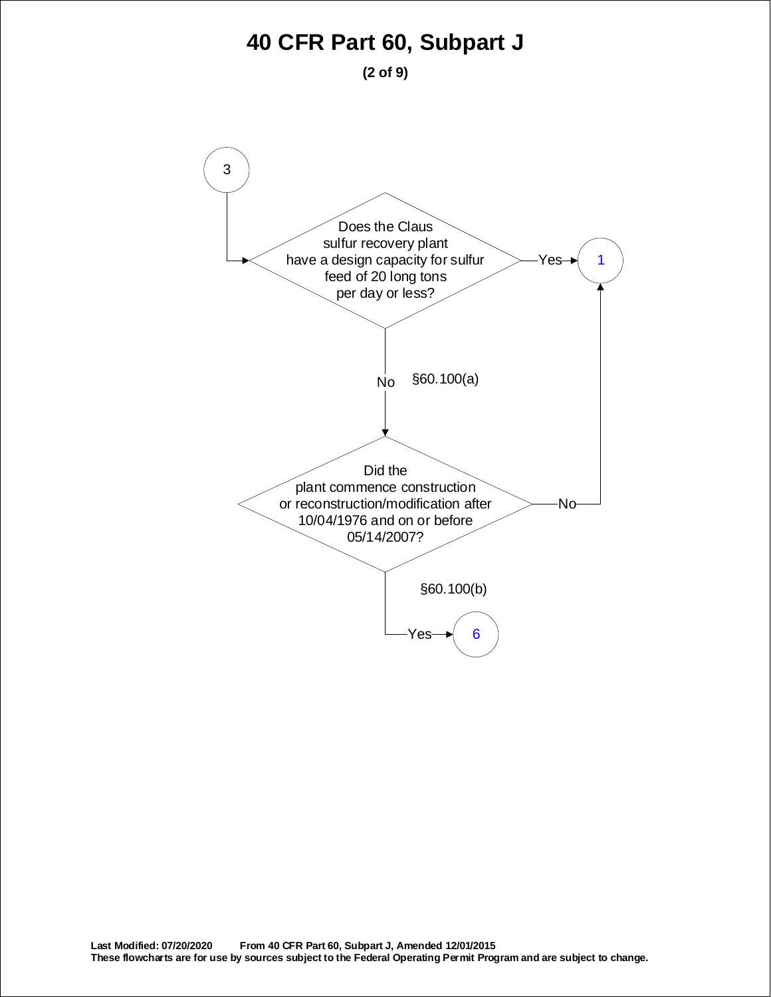**(2 of 9)**

<span id="page-1-0"></span>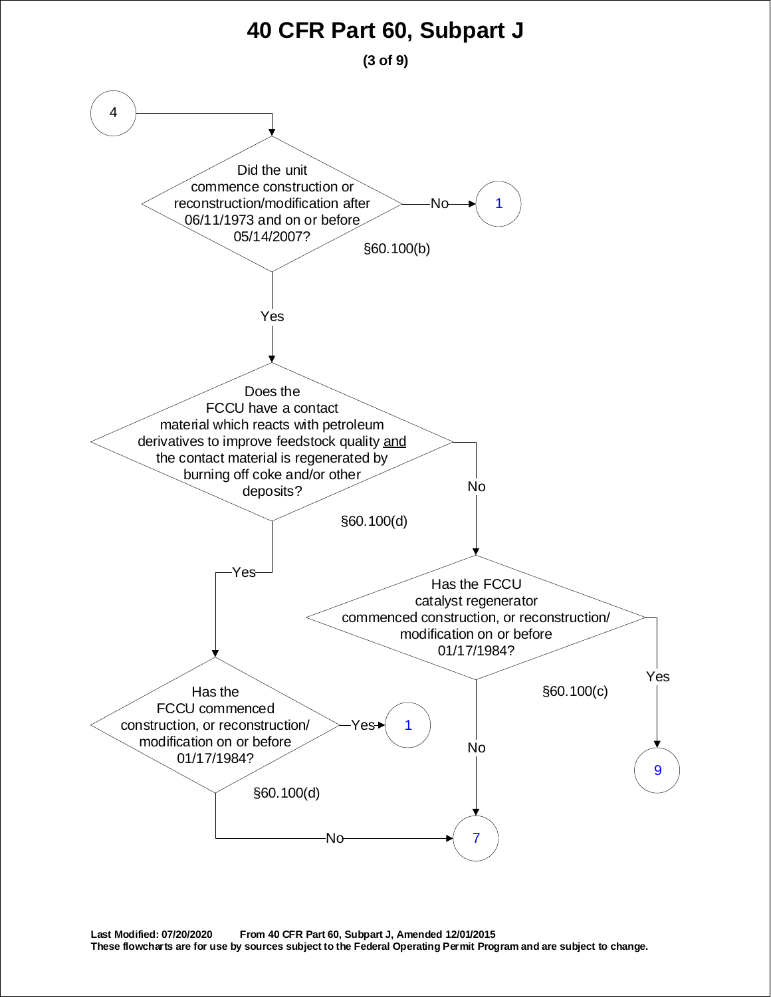**(3 of 9)**

<span id="page-2-0"></span>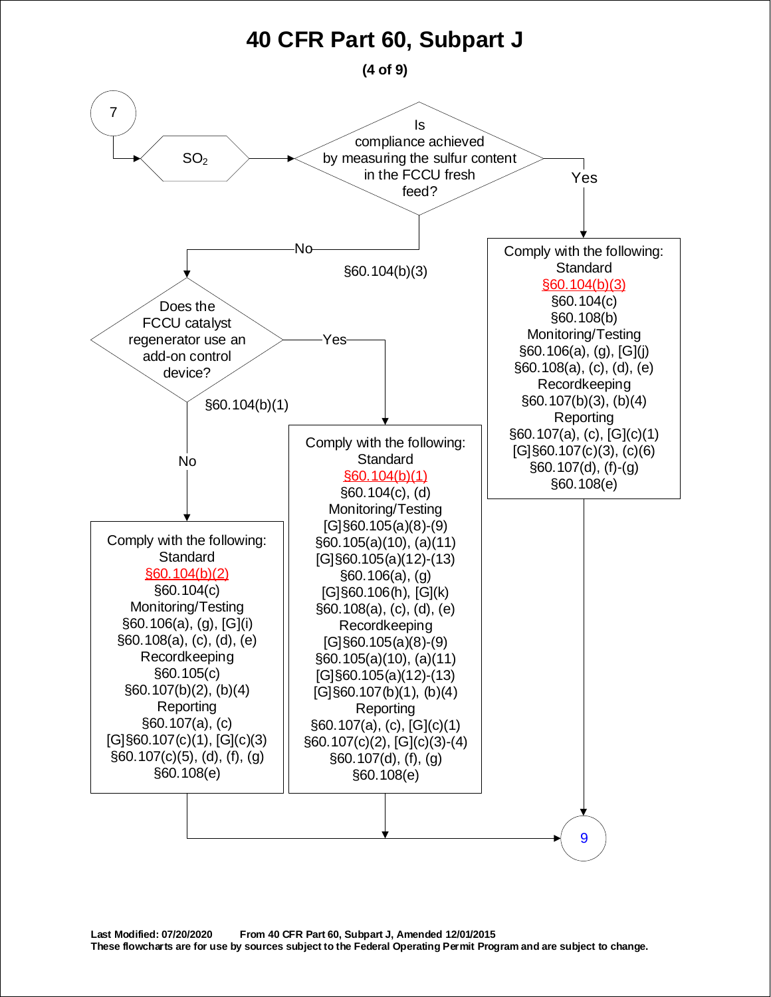<span id="page-3-0"></span>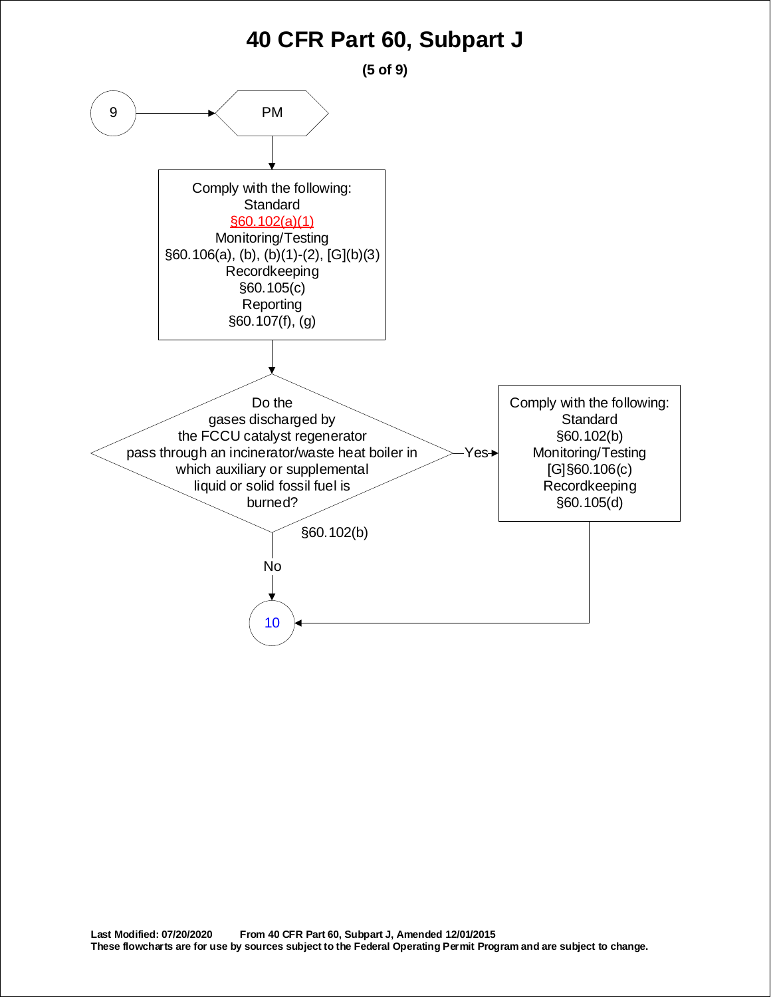<span id="page-4-0"></span>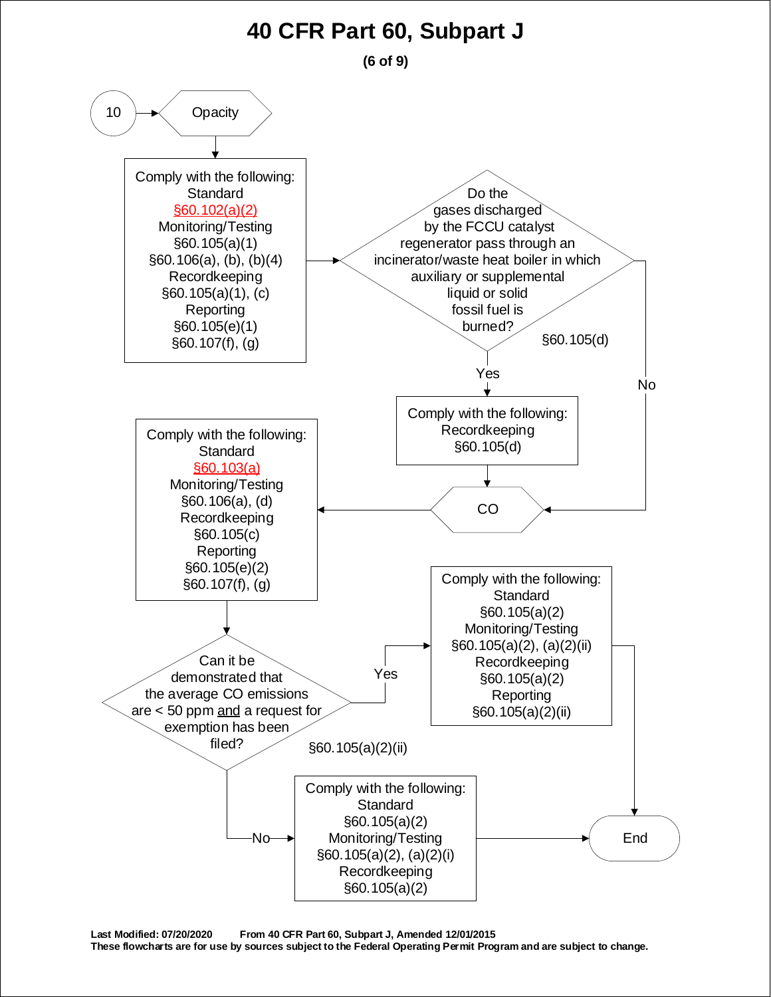**(6 of 9)**

<span id="page-5-0"></span>

**Last Modified: 07/20/2020 From 40 CFR Part 60, Subpart J, Amended 12/01/2015** 

**These flowcharts are for use by sources subject to the Federal Operating Permit Program and are subject to change.**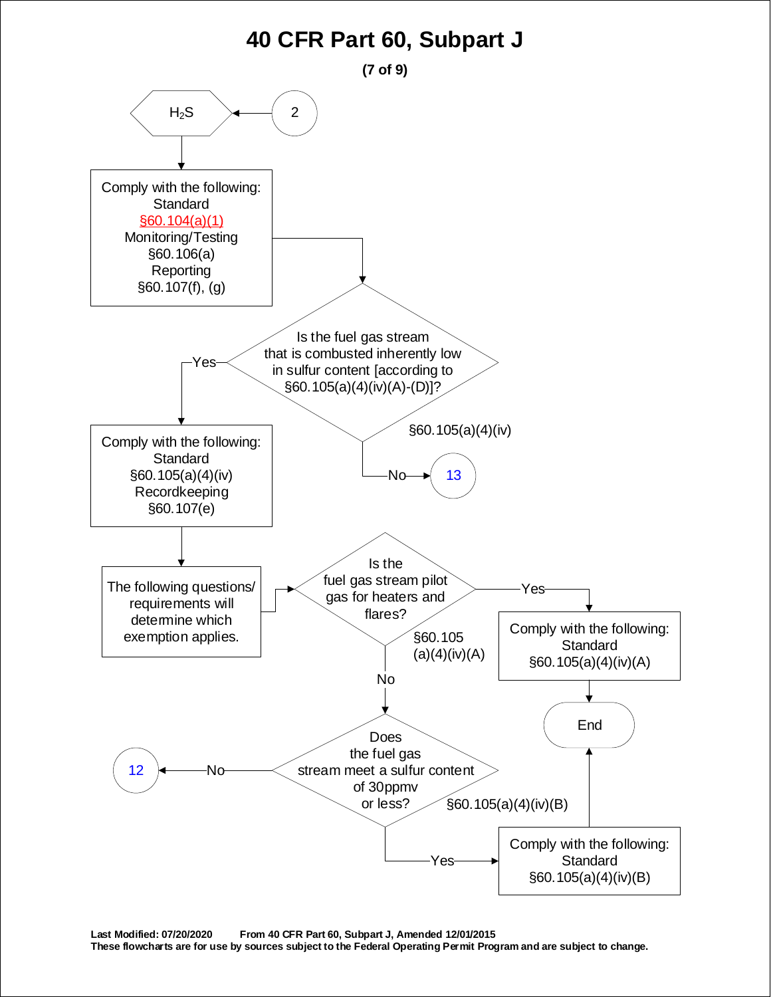<span id="page-6-0"></span>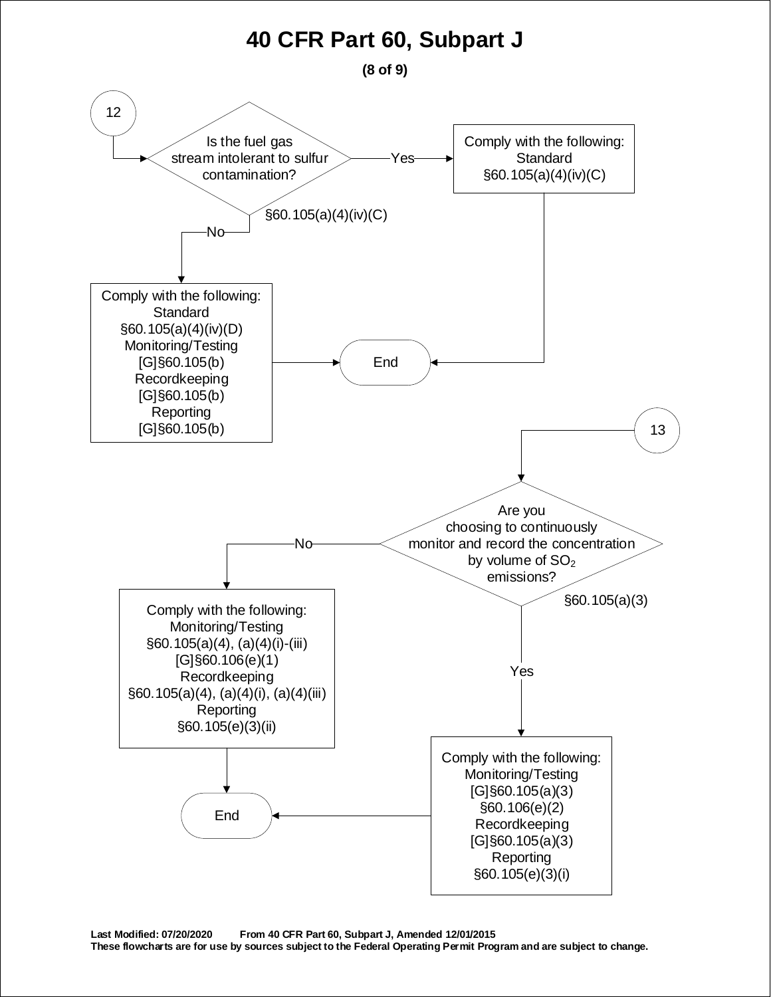**(8 of 9)**

<span id="page-7-0"></span>

**Last Modified: 07/20/2020 From 40 CFR Part 60, Subpart J, Amended 12/01/2015 These flowcharts are for use by sources subject to the Federal Operating Permit Program and are subject to change.**